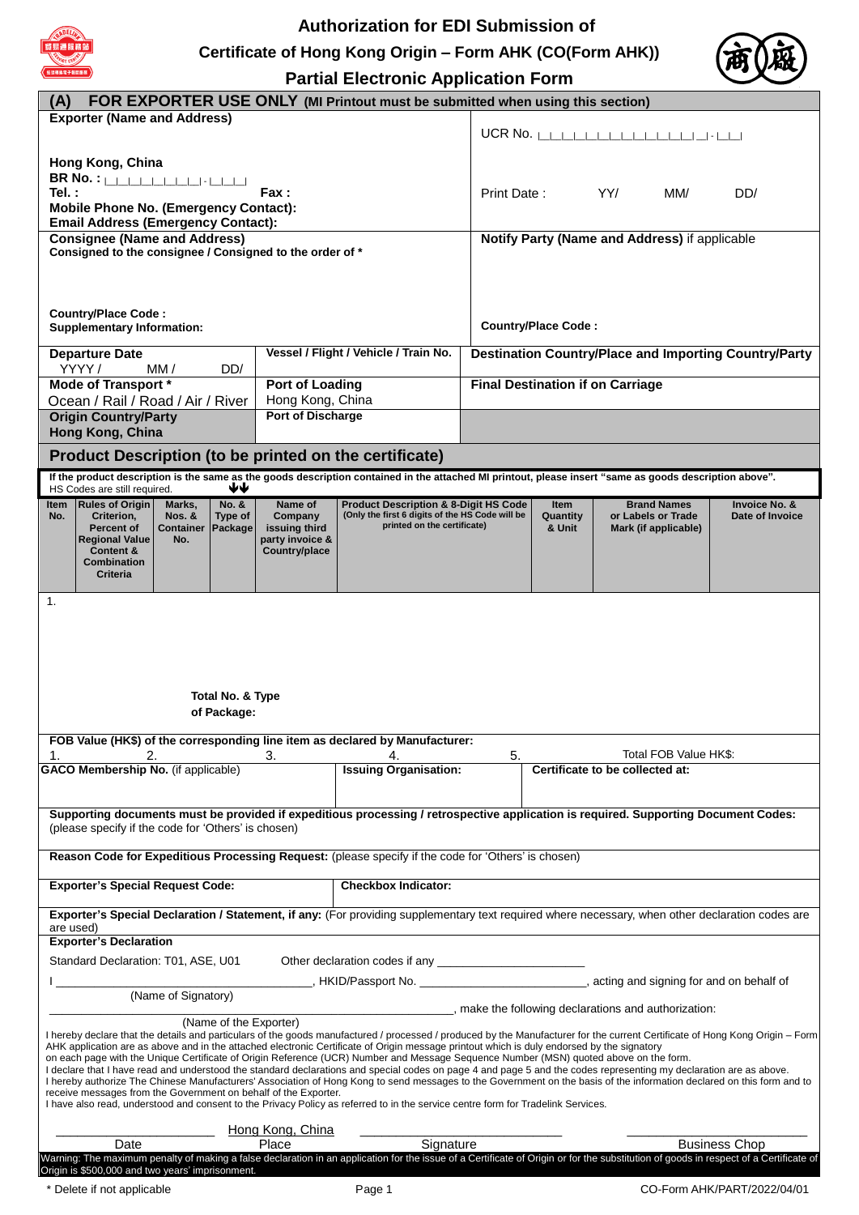

Origin is \$500,000 and two years' imprisonment.

# **Authorization for EDI Submission of Certificate of Hong Kong Origin – Form AHK (CO(Form AHK))**



**Partial Electronic Application** 

|                                                                                                                                                                                                                                                                                                                             |                                  | <b>Partial Electronic Application Form</b>                                                          |                                                              |                                         |                                               |                                  |  |
|-----------------------------------------------------------------------------------------------------------------------------------------------------------------------------------------------------------------------------------------------------------------------------------------------------------------------------|----------------------------------|-----------------------------------------------------------------------------------------------------|--------------------------------------------------------------|-----------------------------------------|-----------------------------------------------|----------------------------------|--|
| FOR EXPORTER USE ONLY (MI Printout must be submitted when using this section)<br>(A)                                                                                                                                                                                                                                        |                                  |                                                                                                     |                                                              |                                         |                                               |                                  |  |
| <b>Exporter (Name and Address)</b>                                                                                                                                                                                                                                                                                          |                                  |                                                                                                     |                                                              | UCR No. $\Box$                          |                                               |                                  |  |
|                                                                                                                                                                                                                                                                                                                             |                                  |                                                                                                     |                                                              |                                         |                                               |                                  |  |
| Hong Kong, China                                                                                                                                                                                                                                                                                                            |                                  |                                                                                                     |                                                              |                                         |                                               |                                  |  |
| <b>BR No.:</b> LLLLLLLLLLLLLLLLLL<br>Tel.:                                                                                                                                                                                                                                                                                  | Fax:                             |                                                                                                     | Print Date:                                                  |                                         | YY/<br>MM/                                    | DD/                              |  |
| <b>Mobile Phone No. (Emergency Contact):</b>                                                                                                                                                                                                                                                                                |                                  |                                                                                                     |                                                              |                                         |                                               |                                  |  |
| <b>Email Address (Emergency Contact):</b><br><b>Consignee (Name and Address)</b>                                                                                                                                                                                                                                            |                                  |                                                                                                     |                                                              |                                         | Notify Party (Name and Address) if applicable |                                  |  |
| Consigned to the consignee / Consigned to the order of *                                                                                                                                                                                                                                                                    |                                  |                                                                                                     |                                                              |                                         |                                               |                                  |  |
|                                                                                                                                                                                                                                                                                                                             |                                  |                                                                                                     |                                                              |                                         |                                               |                                  |  |
|                                                                                                                                                                                                                                                                                                                             |                                  |                                                                                                     |                                                              |                                         |                                               |                                  |  |
| <b>Country/Place Code:</b>                                                                                                                                                                                                                                                                                                  |                                  |                                                                                                     | <b>Country/Place Code:</b>                                   |                                         |                                               |                                  |  |
| <b>Supplementary Information:</b>                                                                                                                                                                                                                                                                                           |                                  |                                                                                                     |                                                              |                                         |                                               |                                  |  |
| <b>Departure Date</b>                                                                                                                                                                                                                                                                                                       |                                  | Vessel / Flight / Vehicle / Train No.                                                               | <b>Destination Country/Place and Importing Country/Party</b> |                                         |                                               |                                  |  |
| YYYY/<br>DD/<br>MM /<br><b>Mode of Transport *</b>                                                                                                                                                                                                                                                                          |                                  | <b>Port of Loading</b>                                                                              |                                                              | <b>Final Destination if on Carriage</b> |                                               |                                  |  |
| Ocean / Rail / Road / Air / River                                                                                                                                                                                                                                                                                           | Hong Kong, China                 |                                                                                                     |                                                              |                                         |                                               |                                  |  |
| <b>Origin Country/Party</b><br>Hong Kong, China                                                                                                                                                                                                                                                                             | <b>Port of Discharge</b>         |                                                                                                     |                                                              |                                         |                                               |                                  |  |
| Product Description (to be printed on the certificate)                                                                                                                                                                                                                                                                      |                                  |                                                                                                     |                                                              |                                         |                                               |                                  |  |
| If the product description is the same as the goods description contained in the attached MI printout, please insert "same as goods description above".                                                                                                                                                                     |                                  |                                                                                                     |                                                              |                                         |                                               |                                  |  |
| ₩<br>HS Codes are still required.                                                                                                                                                                                                                                                                                           |                                  |                                                                                                     |                                                              |                                         |                                               |                                  |  |
| <b>Rules of Origin</b><br>No. &<br>ltem<br>Marks,<br>Type of<br>No.<br>Criterion,<br><b>Nos. &amp;</b>                                                                                                                                                                                                                      | Name of<br>Company               | <b>Product Description &amp; 8-Digit HS Code</b><br>(Only the first 6 digits of the HS Code will be |                                                              | Item<br>Quantity                        | <b>Brand Names</b><br>or Labels or Trade      | Invoice No. &<br>Date of Invoice |  |
| <b>Percent of</b><br><b>Container</b><br>Package<br><b>Regional Value</b><br>No.                                                                                                                                                                                                                                            | issuing third<br>party invoice & | printed on the certificate)                                                                         |                                                              | & Unit                                  | Mark (if applicable)                          |                                  |  |
| Content &<br>Combination                                                                                                                                                                                                                                                                                                    | Country/place                    |                                                                                                     |                                                              |                                         |                                               |                                  |  |
| <b>Criteria</b>                                                                                                                                                                                                                                                                                                             |                                  |                                                                                                     |                                                              |                                         |                                               |                                  |  |
| 1.                                                                                                                                                                                                                                                                                                                          |                                  |                                                                                                     |                                                              |                                         |                                               |                                  |  |
|                                                                                                                                                                                                                                                                                                                             |                                  |                                                                                                     |                                                              |                                         |                                               |                                  |  |
|                                                                                                                                                                                                                                                                                                                             |                                  |                                                                                                     |                                                              |                                         |                                               |                                  |  |
|                                                                                                                                                                                                                                                                                                                             |                                  |                                                                                                     |                                                              |                                         |                                               |                                  |  |
|                                                                                                                                                                                                                                                                                                                             |                                  |                                                                                                     |                                                              |                                         |                                               |                                  |  |
| Total No. & Type                                                                                                                                                                                                                                                                                                            |                                  |                                                                                                     |                                                              |                                         |                                               |                                  |  |
| of Package:                                                                                                                                                                                                                                                                                                                 |                                  |                                                                                                     |                                                              |                                         |                                               |                                  |  |
| FOB Value (HK\$) of the corresponding line item as declared by Manufacturer:                                                                                                                                                                                                                                                |                                  |                                                                                                     |                                                              |                                         |                                               |                                  |  |
| 5.<br>2.<br>3.<br>4.<br><b>GACO Membership No.</b> (if applicable)<br><b>Issuing Organisation:</b>                                                                                                                                                                                                                          |                                  |                                                                                                     | Total FOB Value HK\$:<br>Certificate to be collected at:     |                                         |                                               |                                  |  |
|                                                                                                                                                                                                                                                                                                                             |                                  |                                                                                                     |                                                              |                                         |                                               |                                  |  |
| Supporting documents must be provided if expeditious processing / retrospective application is required. Supporting Document Codes:                                                                                                                                                                                         |                                  |                                                                                                     |                                                              |                                         |                                               |                                  |  |
| (please specify if the code for 'Others' is chosen)                                                                                                                                                                                                                                                                         |                                  |                                                                                                     |                                                              |                                         |                                               |                                  |  |
| Reason Code for Expeditious Processing Request: (please specify if the code for 'Others' is chosen)                                                                                                                                                                                                                         |                                  |                                                                                                     |                                                              |                                         |                                               |                                  |  |
|                                                                                                                                                                                                                                                                                                                             |                                  |                                                                                                     |                                                              |                                         |                                               |                                  |  |
| <b>Exporter's Special Request Code:</b>                                                                                                                                                                                                                                                                                     |                                  | <b>Checkbox Indicator:</b>                                                                          |                                                              |                                         |                                               |                                  |  |
| Exporter's Special Declaration / Statement, if any: (For providing supplementary text required where necessary, when other declaration codes are                                                                                                                                                                            |                                  |                                                                                                     |                                                              |                                         |                                               |                                  |  |
| are used)<br><b>Exporter's Declaration</b>                                                                                                                                                                                                                                                                                  |                                  |                                                                                                     |                                                              |                                         |                                               |                                  |  |
| Standard Declaration: T01, ASE, U01                                                                                                                                                                                                                                                                                         |                                  |                                                                                                     |                                                              |                                         |                                               |                                  |  |
| _, HKID/Passport No. ____________________________, acting and signing for and on behalf of                                                                                                                                                                                                                                  |                                  |                                                                                                     |                                                              |                                         |                                               |                                  |  |
| (Name of Signatory)<br>________, make the following declarations and authorization:                                                                                                                                                                                                                                         |                                  |                                                                                                     |                                                              |                                         |                                               |                                  |  |
| (Name of the Exporter)                                                                                                                                                                                                                                                                                                      |                                  |                                                                                                     |                                                              |                                         |                                               |                                  |  |
| I hereby declare that the details and particulars of the goods manufactured / processed / produced by the Manufacturer for the current Certificate of Hong Kong Origin - Form<br>AHK application are as above and in the attached electronic Certificate of Origin message printout which is duly endorsed by the signatory |                                  |                                                                                                     |                                                              |                                         |                                               |                                  |  |
| on each page with the Unique Certificate of Origin Reference (UCR) Number and Message Sequence Number (MSN) quoted above on the form.<br>I declare that I have read and understood the standard declarations and special codes on page 4 and page 5 and the codes representing my declaration are as above.                 |                                  |                                                                                                     |                                                              |                                         |                                               |                                  |  |
| I hereby authorize The Chinese Manufacturers' Association of Hong Kong to send messages to the Government on the basis of the information declared on this form and to<br>receive messages from the Government on behalf of the Exporter.                                                                                   |                                  |                                                                                                     |                                                              |                                         |                                               |                                  |  |
| I have also read, understood and consent to the Privacy Policy as referred to in the service centre form for Tradelink Services.                                                                                                                                                                                            |                                  |                                                                                                     |                                                              |                                         |                                               |                                  |  |
|                                                                                                                                                                                                                                                                                                                             | Hong Kong, China                 |                                                                                                     |                                                              |                                         |                                               |                                  |  |
| Date<br>Warning: The maximum penalty of making a false declaration in an application for the issue of a Certificate of Origin or for the substitution of goods in respect of a Certificate of                                                                                                                               | Place                            | Signature                                                                                           |                                                              |                                         |                                               | <b>Business Chop</b>             |  |

\* Delete if not applicable Page 1 CO-Form AHK/PART/2022/04/01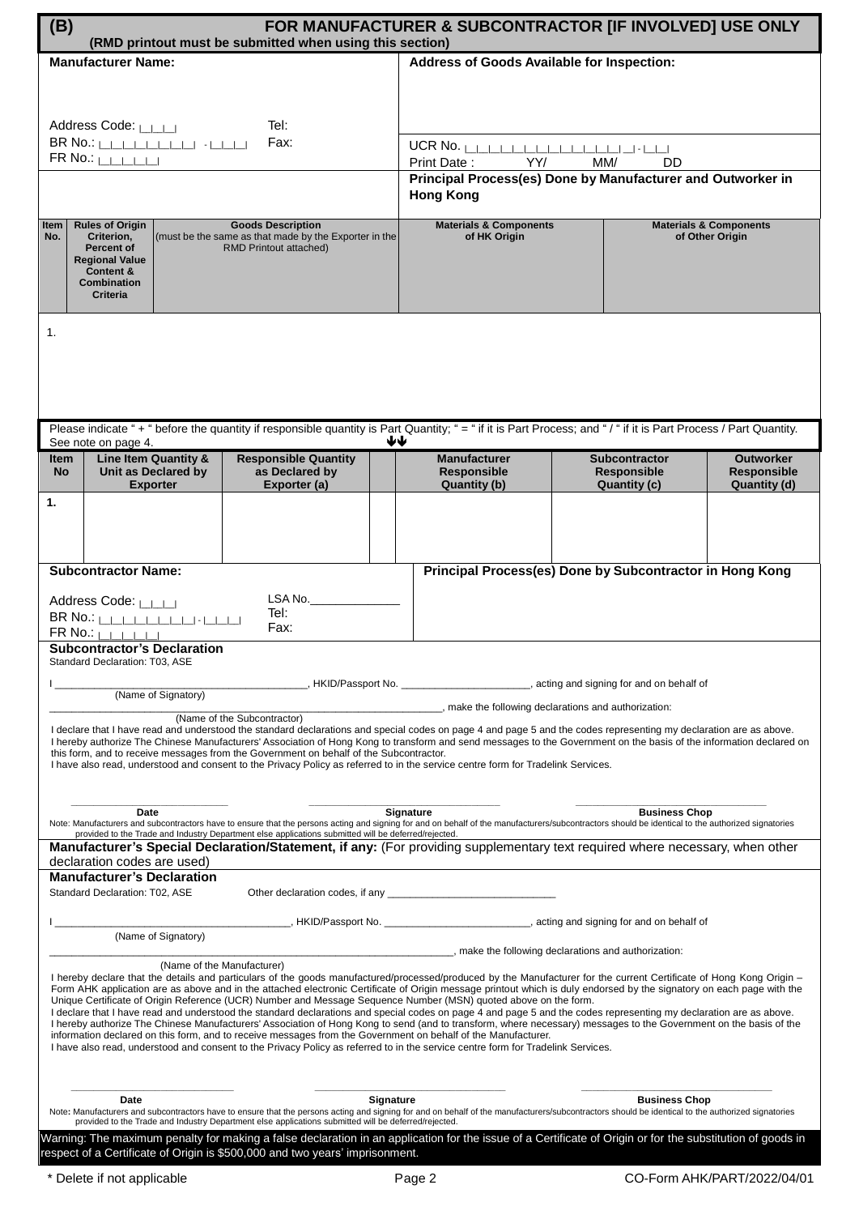| (B)<br>(RMD printout must be submitted when using this section)                                                                                                                                                                                                                                                                                                                                                                                                                                                                                                                                                                                                                                                                                                                                                                                                                                                                                                                                                                                                                                | FOR MANUFACTURER & SUBCONTRACTOR [IF INVOLVED] USE ONLY                                                                                                                                                                       |                                                             |                                                        |
|------------------------------------------------------------------------------------------------------------------------------------------------------------------------------------------------------------------------------------------------------------------------------------------------------------------------------------------------------------------------------------------------------------------------------------------------------------------------------------------------------------------------------------------------------------------------------------------------------------------------------------------------------------------------------------------------------------------------------------------------------------------------------------------------------------------------------------------------------------------------------------------------------------------------------------------------------------------------------------------------------------------------------------------------------------------------------------------------|-------------------------------------------------------------------------------------------------------------------------------------------------------------------------------------------------------------------------------|-------------------------------------------------------------|--------------------------------------------------------|
| <b>Manufacturer Name:</b>                                                                                                                                                                                                                                                                                                                                                                                                                                                                                                                                                                                                                                                                                                                                                                                                                                                                                                                                                                                                                                                                      | <b>Address of Goods Available for Inspection:</b>                                                                                                                                                                             |                                                             |                                                        |
| Tel:                                                                                                                                                                                                                                                                                                                                                                                                                                                                                                                                                                                                                                                                                                                                                                                                                                                                                                                                                                                                                                                                                           |                                                                                                                                                                                                                               |                                                             |                                                        |
| Address Code: LAN<br>BR No.: <b> _ _ _ _ _ _ _ _ _ </b> -  _ _ _ <br>Fax:<br>$FR$ No.: $\Box$                                                                                                                                                                                                                                                                                                                                                                                                                                                                                                                                                                                                                                                                                                                                                                                                                                                                                                                                                                                                  | $UCR$ No. $\ $<br>YY/<br>Print Date:                                                                                                                                                                                          | MM/<br>DD                                                   |                                                        |
|                                                                                                                                                                                                                                                                                                                                                                                                                                                                                                                                                                                                                                                                                                                                                                                                                                                                                                                                                                                                                                                                                                | <b>Hong Kong</b>                                                                                                                                                                                                              | Principal Process(es) Done by Manufacturer and Outworker in |                                                        |
| <b>Rules of Origin</b><br><b>Goods Description</b><br>Item<br>(must be the same as that made by the Exporter in the<br>No.<br>Criterion,<br>Percent of<br>RMD Printout attached)<br><b>Regional Value</b><br>Content &<br><b>Combination</b><br><b>Criteria</b>                                                                                                                                                                                                                                                                                                                                                                                                                                                                                                                                                                                                                                                                                                                                                                                                                                | <b>Materials &amp; Components</b><br>of HK Origin                                                                                                                                                                             |                                                             | <b>Materials &amp; Components</b><br>of Other Origin   |
| 1.                                                                                                                                                                                                                                                                                                                                                                                                                                                                                                                                                                                                                                                                                                                                                                                                                                                                                                                                                                                                                                                                                             |                                                                                                                                                                                                                               |                                                             |                                                        |
| Please indicate "+" before the quantity if responsible quantity is Part Quantity; "= " if it is Part Process; and "/" if it is Part Process / Part Quantity.<br>See note on page 4.                                                                                                                                                                                                                                                                                                                                                                                                                                                                                                                                                                                                                                                                                                                                                                                                                                                                                                            | ₩₩                                                                                                                                                                                                                            |                                                             |                                                        |
| <b>Responsible Quantity</b><br>Line Item Quantity &<br>Item<br>Unit as Declared by<br>as Declared by<br><b>No</b><br>Exporter (a)<br><b>Exporter</b>                                                                                                                                                                                                                                                                                                                                                                                                                                                                                                                                                                                                                                                                                                                                                                                                                                                                                                                                           | <b>Manufacturer</b><br><b>Responsible</b><br>Quantity (b)                                                                                                                                                                     | <b>Subcontractor</b><br><b>Responsible</b><br>Quantity (c)  | <b>Outworker</b><br><b>Responsible</b><br>Quantity (d) |
| 1.                                                                                                                                                                                                                                                                                                                                                                                                                                                                                                                                                                                                                                                                                                                                                                                                                                                                                                                                                                                                                                                                                             |                                                                                                                                                                                                                               |                                                             |                                                        |
| <b>Subcontractor Name:</b>                                                                                                                                                                                                                                                                                                                                                                                                                                                                                                                                                                                                                                                                                                                                                                                                                                                                                                                                                                                                                                                                     |                                                                                                                                                                                                                               | Principal Process(es) Done by Subcontractor in Hong Kong    |                                                        |
| LSA No.<br>Address Code: LAN<br>Tel:<br>Fax:<br>$FR$ No.: $\Box$                                                                                                                                                                                                                                                                                                                                                                                                                                                                                                                                                                                                                                                                                                                                                                                                                                                                                                                                                                                                                               |                                                                                                                                                                                                                               |                                                             |                                                        |
| <b>Subcontractor's Declaration</b><br>Standard Declaration: T03, ASE                                                                                                                                                                                                                                                                                                                                                                                                                                                                                                                                                                                                                                                                                                                                                                                                                                                                                                                                                                                                                           |                                                                                                                                                                                                                               |                                                             |                                                        |
| (Name of Signatory)                                                                                                                                                                                                                                                                                                                                                                                                                                                                                                                                                                                                                                                                                                                                                                                                                                                                                                                                                                                                                                                                            | HKID/Passport No. the same section of the same state of the state of the state of the state of the state of the state of the state of the state of the state of the state of the state of the state of the state of the state |                                                             |                                                        |
| ______, make the following declarations and authorization:<br>(Name of the Subcontractor)<br>I declare that I have read and understood the standard declarations and special codes on page 4 and page 5 and the codes representing my declaration are as above.<br>I hereby authorize The Chinese Manufacturers' Association of Hong Kong to transform and send messages to the Government on the basis of the information declared on<br>this form, and to receive messages from the Government on behalf of the Subcontractor.<br>I have also read, understood and consent to the Privacy Policy as referred to in the service centre form for Tradelink Services.                                                                                                                                                                                                                                                                                                                                                                                                                           |                                                                                                                                                                                                                               |                                                             |                                                        |
| <b>Business Chop</b><br>Signature<br>Date<br>Note: Manufacturers and subcontractors have to ensure that the persons acting and signing for and on behalf of the manufacturers/subcontractors should be identical to the authorized signatories<br>provided to the Trade and Industry Department else applications submitted will be deferred/rejected.                                                                                                                                                                                                                                                                                                                                                                                                                                                                                                                                                                                                                                                                                                                                         |                                                                                                                                                                                                                               |                                                             |                                                        |
| Manufacturer's Special Declaration/Statement, if any: (For providing supplementary text required where necessary, when other<br>declaration codes are used)                                                                                                                                                                                                                                                                                                                                                                                                                                                                                                                                                                                                                                                                                                                                                                                                                                                                                                                                    |                                                                                                                                                                                                                               |                                                             |                                                        |
| <b>Manufacturer's Declaration</b><br>Standard Declaration: T02, ASE                                                                                                                                                                                                                                                                                                                                                                                                                                                                                                                                                                                                                                                                                                                                                                                                                                                                                                                                                                                                                            |                                                                                                                                                                                                                               |                                                             |                                                        |
|                                                                                                                                                                                                                                                                                                                                                                                                                                                                                                                                                                                                                                                                                                                                                                                                                                                                                                                                                                                                                                                                                                |                                                                                                                                                                                                                               |                                                             |                                                        |
| (Name of Signatory)<br>make the following declarations and authorization:                                                                                                                                                                                                                                                                                                                                                                                                                                                                                                                                                                                                                                                                                                                                                                                                                                                                                                                                                                                                                      |                                                                                                                                                                                                                               |                                                             |                                                        |
| (Name of the Manufacturer)<br>I hereby declare that the details and particulars of the goods manufactured/processed/produced by the Manufacturer for the current Certificate of Hong Kong Origin -<br>Form AHK application are as above and in the attached electronic Certificate of Origin message printout which is duly endorsed by the signatory on each page with the<br>Unique Certificate of Origin Reference (UCR) Number and Message Sequence Number (MSN) quoted above on the form.<br>I declare that I have read and understood the standard declarations and special codes on page 4 and page 5 and the codes representing my declaration are as above.<br>I hereby authorize The Chinese Manufacturers' Association of Hong Kong to send (and to transform, where necessary) messages to the Government on the basis of the<br>information declared on this form, and to receive messages from the Government on behalf of the Manufacturer.<br>I have also read, understood and consent to the Privacy Policy as referred to in the service centre form for Tradelink Services. |                                                                                                                                                                                                                               |                                                             |                                                        |
| <b>Date</b><br>Note: Manufacturers and subcontractors have to ensure that the persons acting and signing for and on behalf of the manufacturers/subcontractors should be identical to the authorized signatories<br>provided to the Trade and Industry Department else applications submitted will be deferred/rejected.                                                                                                                                                                                                                                                                                                                                                                                                                                                                                                                                                                                                                                                                                                                                                                       | <b>Signature</b>                                                                                                                                                                                                              | <b>Business Chop</b>                                        |                                                        |
| Warning: The maximum penalty for making a false declaration in an application for the issue of a Certificate of Origin or for the substitution of goods in<br>respect of a Certificate of Origin is \$500,000 and two years' imprisonment.                                                                                                                                                                                                                                                                                                                                                                                                                                                                                                                                                                                                                                                                                                                                                                                                                                                     |                                                                                                                                                                                                                               |                                                             |                                                        |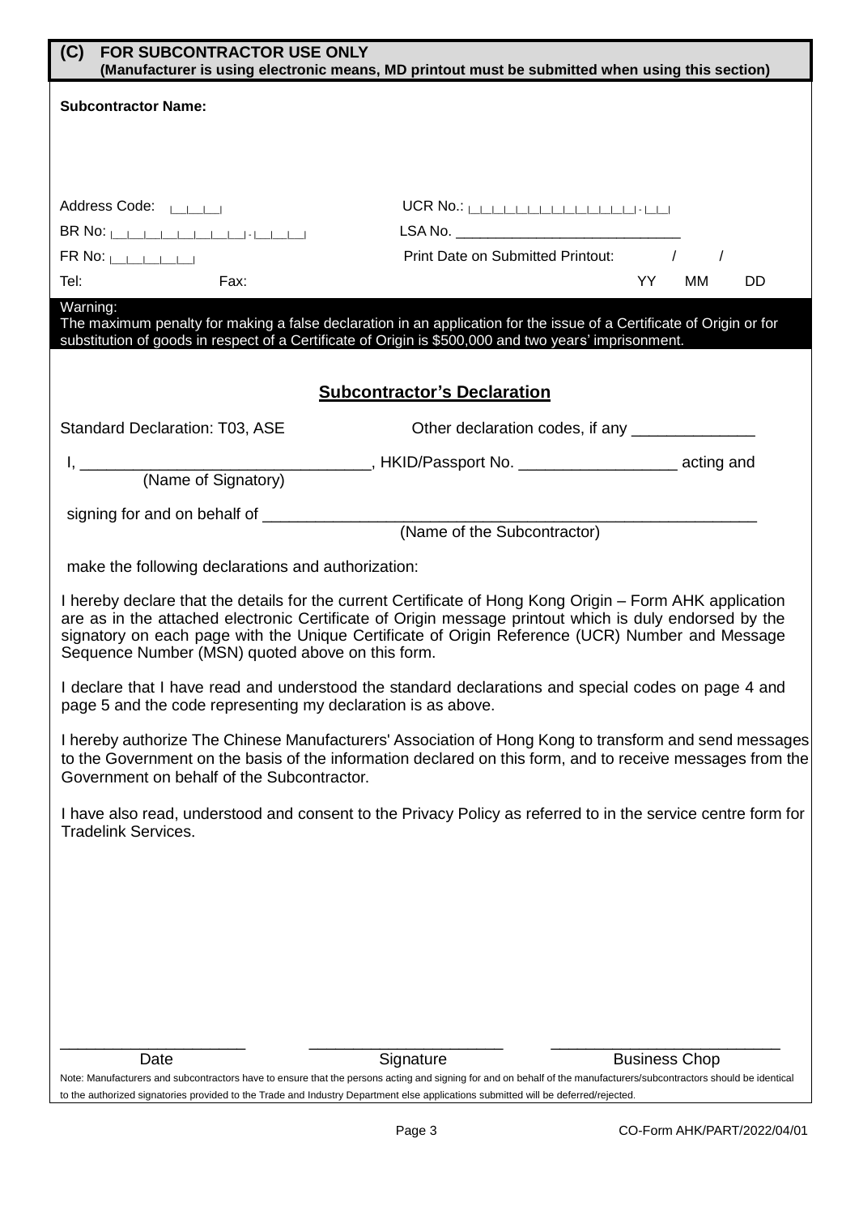| (C)<br><b>FOR SUBCONTRACTOR USE ONLY</b>                                                                                                                                                                                                                                                                                                                                  | (Manufacturer is using electronic means, MD printout must be submitted when using this section)                                                                     |  |  |
|---------------------------------------------------------------------------------------------------------------------------------------------------------------------------------------------------------------------------------------------------------------------------------------------------------------------------------------------------------------------------|---------------------------------------------------------------------------------------------------------------------------------------------------------------------|--|--|
| <b>Subcontractor Name:</b>                                                                                                                                                                                                                                                                                                                                                |                                                                                                                                                                     |  |  |
|                                                                                                                                                                                                                                                                                                                                                                           |                                                                                                                                                                     |  |  |
|                                                                                                                                                                                                                                                                                                                                                                           |                                                                                                                                                                     |  |  |
| Address Code: LANSING                                                                                                                                                                                                                                                                                                                                                     |                                                                                                                                                                     |  |  |
|                                                                                                                                                                                                                                                                                                                                                                           |                                                                                                                                                                     |  |  |
| $FR$ No: $\Box$<br>Fax:<br>Tel:                                                                                                                                                                                                                                                                                                                                           | Print Date on Submitted Printout: /<br>YY.<br>MМ<br>DD                                                                                                              |  |  |
| Warning:                                                                                                                                                                                                                                                                                                                                                                  |                                                                                                                                                                     |  |  |
| substitution of goods in respect of a Certificate of Origin is \$500,000 and two years' imprisonment.                                                                                                                                                                                                                                                                     | The maximum penalty for making a false declaration in an application for the issue of a Certificate of Origin or for                                                |  |  |
|                                                                                                                                                                                                                                                                                                                                                                           | <b>Subcontractor's Declaration</b>                                                                                                                                  |  |  |
| <b>Standard Declaration: T03, ASE</b>                                                                                                                                                                                                                                                                                                                                     | Other declaration codes, if any _________________                                                                                                                   |  |  |
|                                                                                                                                                                                                                                                                                                                                                                           |                                                                                                                                                                     |  |  |
|                                                                                                                                                                                                                                                                                                                                                                           |                                                                                                                                                                     |  |  |
|                                                                                                                                                                                                                                                                                                                                                                           | (Name of the Subcontractor)                                                                                                                                         |  |  |
| make the following declarations and authorization:                                                                                                                                                                                                                                                                                                                        |                                                                                                                                                                     |  |  |
| I hereby declare that the details for the current Certificate of Hong Kong Origin – Form AHK application<br>are as in the attached electronic Certificate of Origin message printout which is duly endorsed by the<br>signatory on each page with the Unique Certificate of Origin Reference (UCR) Number and Message<br>Sequence Number (MSN) quoted above on this form. |                                                                                                                                                                     |  |  |
| page 5 and the code representing my declaration is as above.                                                                                                                                                                                                                                                                                                              | I declare that I have read and understood the standard declarations and special codes on page 4 and                                                                 |  |  |
| I hereby authorize The Chinese Manufacturers' Association of Hong Kong to transform and send messages<br>to the Government on the basis of the information declared on this form, and to receive messages from the<br>Government on behalf of the Subcontractor.                                                                                                          |                                                                                                                                                                     |  |  |
| <b>Tradelink Services.</b>                                                                                                                                                                                                                                                                                                                                                | I have also read, understood and consent to the Privacy Policy as referred to in the service centre form for                                                        |  |  |
|                                                                                                                                                                                                                                                                                                                                                                           |                                                                                                                                                                     |  |  |
|                                                                                                                                                                                                                                                                                                                                                                           |                                                                                                                                                                     |  |  |
|                                                                                                                                                                                                                                                                                                                                                                           |                                                                                                                                                                     |  |  |
|                                                                                                                                                                                                                                                                                                                                                                           |                                                                                                                                                                     |  |  |
|                                                                                                                                                                                                                                                                                                                                                                           |                                                                                                                                                                     |  |  |
|                                                                                                                                                                                                                                                                                                                                                                           |                                                                                                                                                                     |  |  |
| Date                                                                                                                                                                                                                                                                                                                                                                      | <b>Business Chop</b><br>Signature                                                                                                                                   |  |  |
| to the authorized signatories provided to the Trade and Industry Department else applications submitted will be deferred/rejected.                                                                                                                                                                                                                                        | Note: Manufacturers and subcontractors have to ensure that the persons acting and signing for and on behalf of the manufacturers/subcontractors should be identical |  |  |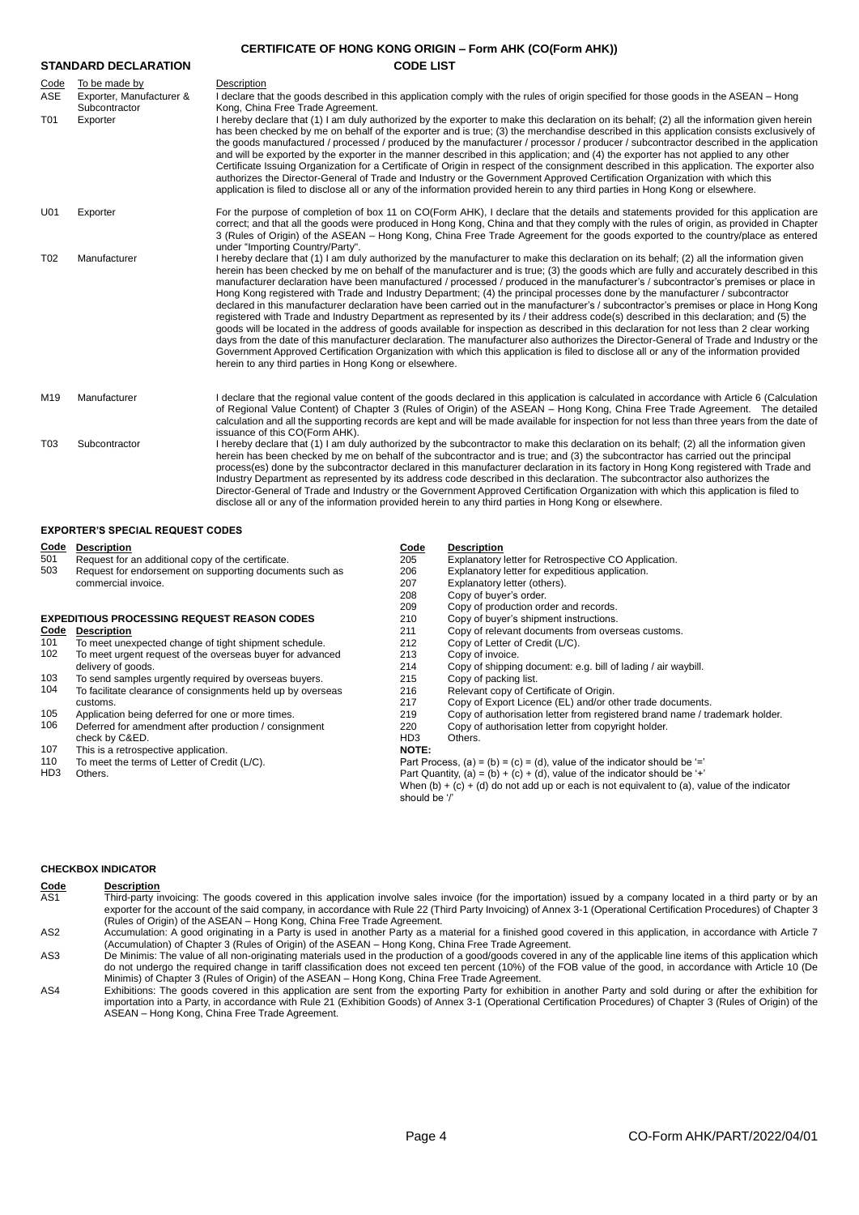| <b>CERTIFICATE OF HONG KONG ORIGIN - Form AHK (CO(Form AHK))</b> |                                                                        |                                                                                                                                                                                                                                                                                                                                                                                                                                                                                                                                                                                                                                                                                                                                                                                                                                                                                                                                                                                                                                                                                                                                                                                                                                                                                                                                             |  |  |
|------------------------------------------------------------------|------------------------------------------------------------------------|---------------------------------------------------------------------------------------------------------------------------------------------------------------------------------------------------------------------------------------------------------------------------------------------------------------------------------------------------------------------------------------------------------------------------------------------------------------------------------------------------------------------------------------------------------------------------------------------------------------------------------------------------------------------------------------------------------------------------------------------------------------------------------------------------------------------------------------------------------------------------------------------------------------------------------------------------------------------------------------------------------------------------------------------------------------------------------------------------------------------------------------------------------------------------------------------------------------------------------------------------------------------------------------------------------------------------------------------|--|--|
|                                                                  | <b>STANDARD DECLARATION</b>                                            | <b>CODE LIST</b>                                                                                                                                                                                                                                                                                                                                                                                                                                                                                                                                                                                                                                                                                                                                                                                                                                                                                                                                                                                                                                                                                                                                                                                                                                                                                                                            |  |  |
| Code<br>ASE<br>T01                                               | To be made by<br>Exporter, Manufacturer &<br>Subcontractor<br>Exporter | Description<br>I declare that the goods described in this application comply with the rules of origin specified for those goods in the ASEAN – Hong<br>Kong, China Free Trade Agreement.<br>I hereby declare that (1) I am duly authorized by the exporter to make this declaration on its behalf; (2) all the information given herein<br>has been checked by me on behalf of the exporter and is true; (3) the merchandise described in this application consists exclusively of<br>the goods manufactured / processed / produced by the manufacturer / processor / producer / subcontractor described in the application<br>and will be exported by the exporter in the manner described in this application; and (4) the exporter has not applied to any other<br>Certificate Issuing Organization for a Certificate of Origin in respect of the consignment described in this application. The exporter also<br>authorizes the Director-General of Trade and Industry or the Government Approved Certification Organization with which this<br>application is filed to disclose all or any of the information provided herein to any third parties in Hong Kong or elsewhere.                                                                                                                                                          |  |  |
| U01                                                              | Exporter                                                               | For the purpose of completion of box 11 on CO(Form AHK), I declare that the details and statements provided for this application are<br>correct; and that all the goods were produced in Hong Kong, China and that they comply with the rules of origin, as provided in Chapter<br>3 (Rules of Origin) of the ASEAN – Hong Kong, China Free Trade Agreement for the goods exported to the country/place as entered<br>under "Importing Country/Party".                                                                                                                                                                                                                                                                                                                                                                                                                                                                                                                                                                                                                                                                                                                                                                                                                                                                                      |  |  |
| T <sub>02</sub>                                                  | Manufacturer                                                           | I hereby declare that (1) I am duly authorized by the manufacturer to make this declaration on its behalf; (2) all the information given<br>herein has been checked by me on behalf of the manufacturer and is true; (3) the goods which are fully and accurately described in this<br>manufacturer declaration have been manufactured / processed / produced in the manufacturer's / subcontractor's premises or place in<br>Hong Kong registered with Trade and Industry Department; (4) the principal processes done by the manufacturer / subcontractor<br>declared in this manufacturer declaration have been carried out in the manufacturer's / subcontractor's premises or place in Hong Kong<br>registered with Trade and Industry Department as represented by its / their address code(s) described in this declaration; and (5) the<br>goods will be located in the address of goods available for inspection as described in this declaration for not less than 2 clear working<br>days from the date of this manufacturer declaration. The manufacturer also authorizes the Director-General of Trade and Industry or the<br>Government Approved Certification Organization with which this application is filed to disclose all or any of the information provided<br>herein to any third parties in Hong Kong or elsewhere. |  |  |
| M19                                                              | Manufacturer                                                           | I declare that the regional value content of the goods declared in this application is calculated in accordance with Article 6 (Calculation<br>of Regional Value Content) of Chapter 3 (Rules of Origin) of the ASEAN - Hong Kong, China Free Trade Agreement. The detailed<br>calculation and all the supporting records are kept and will be made available for inspection for not less than three years from the date of<br>issuance of this CO(Form AHK).                                                                                                                                                                                                                                                                                                                                                                                                                                                                                                                                                                                                                                                                                                                                                                                                                                                                               |  |  |
| T <sub>03</sub>                                                  | Subcontractor                                                          | I hereby declare that (1) I am duly authorized by the subcontractor to make this declaration on its behalf; (2) all the information given<br>herein has been checked by me on behalf of the subcontractor and is true; and (3) the subcontractor has carried out the principal<br>process(es) done by the subcontractor declared in this manufacturer declaration in its factory in Hong Kong registered with Trade and<br>Industry Department as represented by its address code described in this declaration. The subcontractor also authorizes the<br>Director-General of Trade and Industry or the Government Approved Certification Organization with which this application is filed to<br>disclose all or any of the information provided herein to any third parties in Hong Kong or elsewhere.                                                                                                                                                                                                                                                                                                                                                                                                                                                                                                                                    |  |  |

## **EXPORTER'S SPECIAL REQUEST CODES**

| <b>Code</b> | <b>Description</b>                                          | Code                                                                                                                                                                        | <b>Description</b>                                                          |  |
|-------------|-------------------------------------------------------------|-----------------------------------------------------------------------------------------------------------------------------------------------------------------------------|-----------------------------------------------------------------------------|--|
| 501         | Request for an additional copy of the certificate.          | 205                                                                                                                                                                         | Explanatory letter for Retrospective CO Application.                        |  |
| 503         | Request for endorsement on supporting documents such as     | 206                                                                                                                                                                         | Explanatory letter for expeditious application.                             |  |
|             | commercial invoice.                                         | 207                                                                                                                                                                         | Explanatory letter (others).                                                |  |
|             |                                                             | 208                                                                                                                                                                         | Copy of buyer's order.                                                      |  |
|             |                                                             | 209                                                                                                                                                                         | Copy of production order and records.                                       |  |
|             | <b>EXPEDITIOUS PROCESSING REQUEST REASON CODES</b>          | 210                                                                                                                                                                         | Copy of buyer's shipment instructions.                                      |  |
| Code        | <b>Description</b>                                          | 211                                                                                                                                                                         | Copy of relevant documents from overseas customs.                           |  |
| 101         | To meet unexpected change of tight shipment schedule.       | 212                                                                                                                                                                         | Copy of Letter of Credit (L/C).                                             |  |
| 102         | To meet urgent request of the overseas buyer for advanced   | 213                                                                                                                                                                         | Copy of invoice.                                                            |  |
|             | delivery of goods.                                          | 214                                                                                                                                                                         | Copy of shipping document: e.g. bill of lading / air waybill.               |  |
| 103         | To send samples urgently required by overseas buyers.       | 215                                                                                                                                                                         | Copy of packing list.                                                       |  |
| 104         | To facilitate clearance of consignments held up by overseas | 216                                                                                                                                                                         | Relevant copy of Certificate of Origin.                                     |  |
|             | customs.                                                    | 217                                                                                                                                                                         | Copy of Export Licence (EL) and/or other trade documents.                   |  |
| 105         | Application being deferred for one or more times.           | 219                                                                                                                                                                         | Copy of authorisation letter from registered brand name / trademark holder. |  |
| 106         | Deferred for amendment after production / consignment       | 220                                                                                                                                                                         | Copy of authorisation letter from copyright holder.                         |  |
|             | check by C&ED.                                              | HD <sub>3</sub>                                                                                                                                                             | Others.                                                                     |  |
| 107         | This is a retrospective application.                        | <b>NOTE:</b>                                                                                                                                                                |                                                                             |  |
| 110         | To meet the terms of Letter of Credit (L/C).                | Part Process, (a) = (b) = (c) = (d), value of the indicator should be $=$                                                                                                   |                                                                             |  |
| HD3         | Others.                                                     | Part Quantity, (a) = (b) + (c) + (d), value of the indicator should be '+'<br>When $(b) + (c) + (d)$ do not add up or each is not equivalent to (a), value of the indicator |                                                                             |  |
|             |                                                             |                                                                                                                                                                             |                                                                             |  |
|             |                                                             | should be '/'                                                                                                                                                               |                                                                             |  |
|             |                                                             |                                                                                                                                                                             |                                                                             |  |
|             |                                                             |                                                                                                                                                                             |                                                                             |  |

## **CHECKBOX INDICATOR**

| Code            | <b>Description</b>                                                                                                                                                |
|-----------------|-------------------------------------------------------------------------------------------------------------------------------------------------------------------|
| AS1             | Third-party invoicing: The goods covered in this application involve sales invoice (for the importation) issued by a company located in a third party or by an    |
|                 | exporter for the account of the said company, in accordance with Rule 22 (Third Party Invoicing) of Annex 3-1 (Operational Certification Procedures) of Chapter 3 |
|                 | (Rules of Origin) of the ASEAN – Hong Kong, China Free Trade Agreement.                                                                                           |
| AS <sub>2</sub> | Accumulation: A good originating in a Party is used in another Party as a material for a finished good covered in this application, in accordance with Article 7  |

(Accumulation) of Chapter 3 (Rules of Origin) of the ASEAN – Hong Kong, China Free Trade Agreement. De Minimis: The value of all non-originating materials used in the production of a good/goods covered in any of the applicable line items of this application which<br>do not undergo the required change in tariff classificatio

Minimis) of Chapter 3 (Rules of Origin) of the ASEAN – Hong Kong, China Free Trade Agreement.

Exhibitions: The goods covered in this application are sent from the exporting Party for exhibition in another Party and sold during or after the exhibition for<br>importation into a Party, in accordance with Rule 21 (Exhibit ASEAN – Hong Kong, China Free Trade Agreement.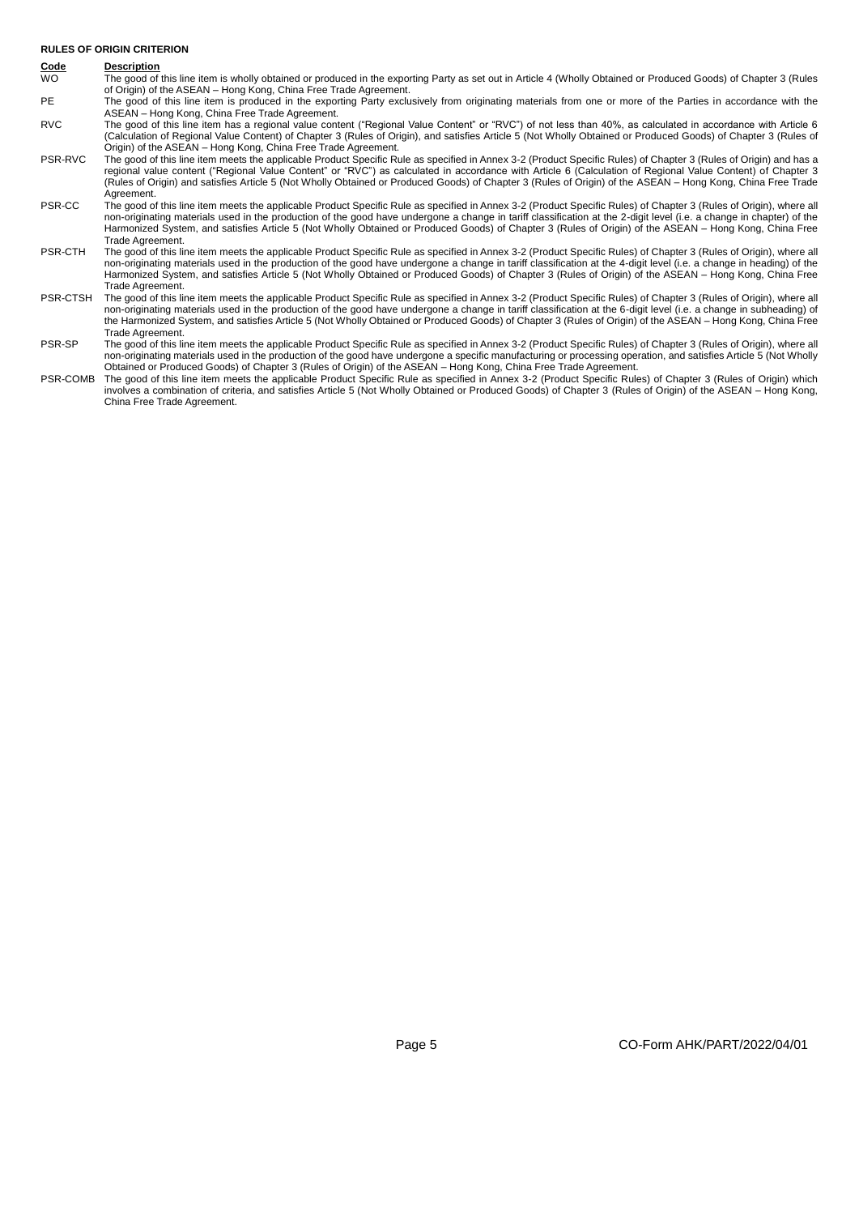## **RULES OF ORIGIN CRITERION**

## **Code Description**

- WO The good of this line item is wholly obtained or produced in the exporting Party as set out in Article 4 (Wholly Obtained or Produced Goods) of Chapter 3 (Rules of Origin) of the ASEAN – Hong Kong, China Free Trade Agreement.
- PE The good of this line item is produced in the exporting Party exclusively from originating materials from one or more of the Parties in accordance with the ASEAN – Hong Kong, China Free Trade Agreement.
- RVC The good of this line item has a regional value content ("Regional Value Content" or "RVC") of not less than 40%, as calculated in accordance with Article 6 (Calculation of Regional Value Content) of Chapter 3 (Rules of Origin), and satisfies Article 5 (Not Wholly Obtained or Produced Goods) of Chapter 3 (Rules of Origin) of the ASEAN – Hong Kong, China Free Trade Agreement.
- PSR-RVC The good of this line item meets the applicable Product Specific Rule as specified in Annex 3-2 (Product Specific Rules) of Chapter 3 (Rules of Origin) and has a regional value content ("Regional Value Content" or "RVC") as calculated in accordance with Article 6 (Calculation of Regional Value Content) of Chapter 3 (Rules of Origin) and satisfies Article 5 (Not Wholly Obtained or Produced Goods) of Chapter 3 (Rules of Origin) of the ASEAN – Hong Kong, China Free Trade Agreement.
- PSR-CC The good of this line item meets the applicable Product Specific Rule as specified in Annex 3-2 (Product Specific Rules) of Chapter 3 (Rules of Origin), where all non-originating materials used in the production of the good have undergone a change in tariff classification at the 2-digit level (i.e. a change in chapter) of the Harmonized System, and satisfies Article 5 (Not Wholly Obtained or Produced Goods) of Chapter 3 (Rules of Origin) of the ASEAN – Hong Kong, China Free Trade Agreement.
- PSR-CTH The good of this line item meets the applicable Product Specific Rule as specified in Annex 3-2 (Product Specific Rules) of Chapter 3 (Rules of Origin), where all non-originating materials used in the production of the good have undergone a change in tariff classification at the 4-digit level (i.e. a change in heading) of the Harmonized System, and satisfies Article 5 (Not Wholly Obtained or Produced Goods) of Chapter 3 (Rules of Origin) of the ASEAN – Hong Kong, China Free Trade Agreement.
- PSR-CTSH The good of this line item meets the applicable Product Specific Rule as specified in Annex 3-2 (Product Specific Rules) of Chapter 3 (Rules of Origin), where all non-originating materials used in the production of the good have undergone a change in tariff classification at the 6-digit level (i.e. a change in subheading) of<br>the Harmonized System, and satisfies Article 5 (Not Wholly Trade Agreement.
- PSR-SP The good of this line item meets the applicable Product Specific Rule as specified in Annex 3-2 (Product Specific Rules) of Chapter 3 (Rules of Origin), where all non-originating materials used in the production of the good have undergone a specific manufacturing or processing operation, and satisfies Article 5 (Not Wholly Obtained or Produced Goods) of Chapter 3 (Rules of Origin) of the ASEAN – Hong Kong, China Free Trade Agreement.
- PSR-COMB The good of this line item meets the applicable Product Specific Rule as specified in Annex 3-2 (Product Specific Rules) of Chapter 3 (Rules of Origin) which involves a combination of criteria, and satisfies Article 5 (Not Wholly Obtained or Produced Goods) of Chapter 3 (Rules of Origin) of the ASEAN – Hong Kong, China Free Trade Agreement.